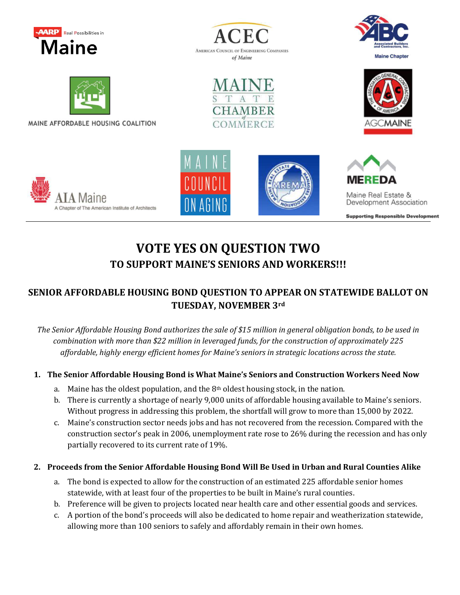









MAINE AFFORDABLE HOUSING COALITION









Maine Real Estate & Development Association

**Supporting Responsible Development** 

## **VOTE YES ON QUESTION TWO TO SUPPORT MAINE'S SENIORS AND WORKERS!!!**

## **SENIOR AFFORDABLE HOUSING BOND QUESTION TO APPEAR ON STATEWIDE BALLOT ON TUESDAY, NOVEMBER 3rd**

*The Senior Affordable Housing Bond authorizes the sale of \$15 million in general obligation bonds, to be used in combination with more than \$22 million in leveraged funds, for the construction of approximately 225 affordable, highly energy efficient homes for Maine's seniors in strategic locations across the state.*

## **1. The Senior Affordable Housing Bond is What Maine's Seniors and Construction Workers Need Now**

- a. Maine has the oldest population, and the  $8<sup>th</sup>$  oldest housing stock, in the nation.
- b. There is currently a shortage of nearly 9,000 units of affordable housing available to Maine's seniors. Without progress in addressing this problem, the shortfall will grow to more than 15,000 by 2022.
- c. Maine's construction sector needs jobs and has not recovered from the recession. Compared with the construction sector's peak in 2006, unemployment rate rose to 26% during the recession and has only partially recovered to its current rate of 19%.

## **2. Proceeds from the Senior Affordable Housing Bond Will Be Used in Urban and Rural Counties Alike**

- a. The bond is expected to allow for the construction of an estimated 225 affordable senior homes statewide, with at least four of the properties to be built in Maine's rural counties.
- b. Preference will be given to projects located near health care and other essential goods and services.
- c. A portion of the bond's proceeds will also be dedicated to home repair and weatherization statewide, allowing more than 100 seniors to safely and affordably remain in their own homes.